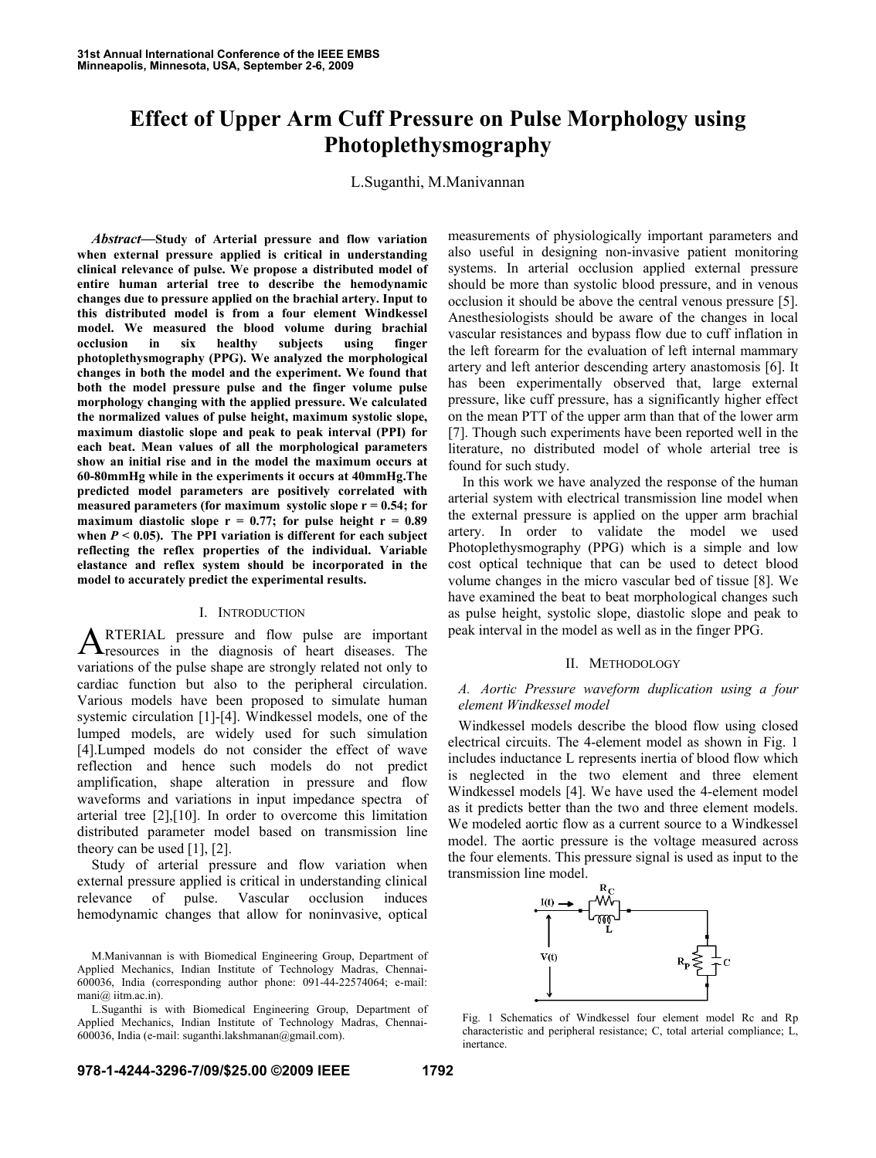# **Effect of Upper Arm Cuff Pressure on Pulse Morphology using Photoplethysmography**

L.Suganthi, M.Manivannan

 *Abstract***—Study of Arterial pressure and flow variation when external pressure applied is critical in understanding clinical relevance of pulse. We propose a distributed model of entire human arterial tree to describe the hemodynamic changes due to pressure applied on the brachial artery. Input to this distributed model is from a four element Windkessel model. We measured the blood volume during brachial occlusion in six healthy subjects using finger photoplethysmography (PPG). We analyzed the morphological changes in both the model and the experiment. We found that both the model pressure pulse and the finger volume pulse morphology changing with the applied pressure. We calculated the normalized values of pulse height, maximum systolic slope, maximum diastolic slope and peak to peak interval (PPI) for each beat. Mean values of all the morphological parameters show an initial rise and in the model the maximum occurs at 60-80mmHg while in the experiments it occurs at 40mmHg.The predicted model parameters are positively correlated with measured parameters (for maximum systolic slope r = 0.54; for**  maximum diastolic slope  $r = 0.77$ ; for pulse height  $r = 0.89$ when  $P < 0.05$ ). The PPI variation is different for each subject **reflecting the reflex properties of the individual. Variable elastance and reflex system should be incorporated in the model to accurately predict the experimental results.**

## I. INTRODUCTION

RTERIAL pressure and flow pulse are important **A**RTERIAL pressure and flow pulse are important resources in the diagnosis of heart diseases. The variations of the pulse shape are strongly related not only to cardiac function but also to the peripheral circulation. Various models have been proposed to simulate human systemic circulation [1]-[4]. Windkessel models, one of the lumped models, are widely used for such simulation [4].Lumped models do not consider the effect of wave reflection and hence such models do not predict amplification, shape alteration in pressure and flow waveforms and variations in input impedance spectra of arterial tree [2],[10]. In order to overcome this limitation distributed parameter model based on transmission line theory can be used [1], [2].

Study of arterial pressure and flow variation when external pressure applied is critical in understanding clinical relevance of pulse. Vascular occlusion induces hemodynamic changes that allow for noninvasive, optical measurements of physiologically important parameters and also useful in designing non-invasive patient monitoring systems. In arterial occlusion applied external pressure should be more than systolic blood pressure, and in venous occlusion it should be above the central venous pressure [5]. Anesthesiologists should be aware of the changes in local vascular resistances and bypass flow due to cuff inflation in the left forearm for the evaluation of left internal mammary artery and left anterior descending artery anastomosis [6]. It has been experimentally observed that, large external pressure, like cuff pressure, has a significantly higher effect on the mean PTT of the upper arm than that of the lower arm [7]. Though such experiments have been reported well in the literature, no distributed model of whole arterial tree is found for such study.

In this work we have analyzed the response of the human arterial system with electrical transmission line model when the external pressure is applied on the upper arm brachial artery. In order to validate the model we used Photoplethysmography (PPG) which is a simple and low cost optical technique that can be used to detect blood volume changes in the micro vascular bed of tissue [8]. We have examined the beat to beat morphological changes such as pulse height, systolic slope, diastolic slope and peak to peak interval in the model as well as in the finger PPG.

#### II. METHODOLOGY

## *A. Aortic Pressure waveform duplication using a four element Windkessel model*

Windkessel models describe the blood flow using closed electrical circuits. The 4-element model as shown in Fig. 1 includes inductance L represents inertia of blood flow which is neglected in the two element and three element Windkessel models [4]. We have used the 4-element model as it predicts better than the two and three element models. We modeled aortic flow as a current source to a Windkessel model. The aortic pressure is the voltage measured across the four elements. This pressure signal is used as input to the transmission line model.



 Fig. 1 Schematics of Windkessel four element model Rc and Rp characteristic and peripheral resistance; C, total arterial compliance; L, inertance.

M.Manivannan is with Biomedical Engineering Group, Department of Applied Mechanics, Indian Institute of Technology Madras, Chennai-600036, India (corresponding author phone: 091-44-22574064; e-mail: mani@ iitm.ac.in).

L.Suganthi is with Biomedical Engineering Group, Department of Applied Mechanics, Indian Institute of Technology Madras, Chennai-600036, India (e-mail: suganthi.lakshmanan@gmail.com).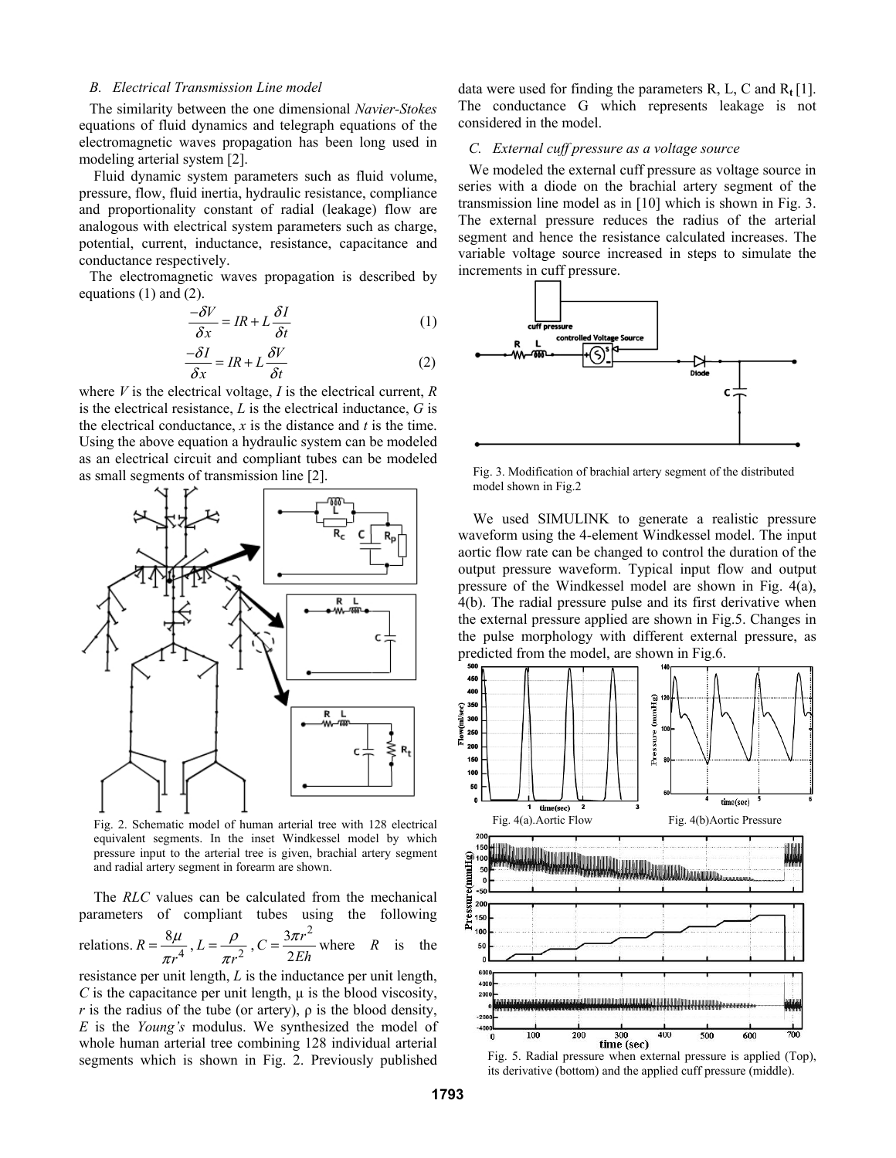## *B. Electrical Transmission Line model*

The similarity between the one dimensional *Navier-Stokes*  equations of fluid dynamics and telegraph equations of the electromagnetic waves propagation has been long used in modeling arterial system [2].

 Fluid dynamic system parameters such as fluid volume, pressure, flow, fluid inertia, hydraulic resistance, compliance and proportionality constant of radial (leakage) flow are analogous with electrical system parameters such as charge, potential, current, inductance, resistance, capacitance and conductance respectively.

The electromagnetic waves propagation is described by equations (1) and (2).

$$
\frac{-\delta V}{\delta x} = IR + L\frac{\delta I}{\delta t} \tag{1}
$$

$$
\frac{-\delta I}{\delta x} = IR + L \frac{\delta V}{\delta t}
$$
 (2)

where *V* is the electrical voltage, *I* is the electrical current, *R*  is the electrical resistance, *L* is the electrical inductance, *G* is the electrical conductance, *x* is the distance and *t* is the time. Using the above equation a hydraulic system can be modeled as an electrical circuit and compliant tubes can be modeled as small segments of transmission line [2].



 Fig. 2. Schematic model of human arterial tree with 128 electrical equivalent segments. In the inset Windkessel model by which pressure input to the arterial tree is given, brachial artery segment and radial artery segment in forearm are shown.

 The *RLC* values can be calculated from the mechanical parameters of compliant tubes using the following

relations.  $R = \frac{8\mu}{\pi r^4}$ ,  $L = \frac{\rho}{\pi r^2}$ ,  $3\pi r^2$  $C = \frac{3\pi r^2}{2Eh}$  where *R* is the

resistance per unit length, *L* is the inductance per unit length,  $C$  is the capacitance per unit length,  $\mu$  is the blood viscosity, *r* is the radius of the tube (or artery),  $\rho$  is the blood density, *E* is the *Young's* modulus. We synthesized the model of whole human arterial tree combining 128 individual arterial segments which is shown in Fig. 2. Previously published

data were used for finding the parameters R, L, C and R**<sup>t</sup>** [1]. The conductance G which represents leakage is not considered in the model.

## *C. External cuff pressure as a voltage source*

We modeled the external cuff pressure as voltage source in series with a diode on the brachial artery segment of the transmission line model as in [10] which is shown in Fig. 3. The external pressure reduces the radius of the arterial segment and hence the resistance calculated increases. The variable voltage source increased in steps to simulate the increments in cuff pressure.



 Fig. 3. Modification of brachial artery segment of the distributed model shown in Fig.2

We used SIMULINK to generate a realistic pressure waveform using the 4-element Windkessel model. The input aortic flow rate can be changed to control the duration of the output pressure waveform. Typical input flow and output pressure of the Windkessel model are shown in Fig. 4(a), 4(b). The radial pressure pulse and its first derivative when the external pressure applied are shown in Fig.5. Changes in the pulse morphology with different external pressure, as predicted from the model, are shown in Fig.6.



its derivative (bottom) and the applied cuff pressure (middle).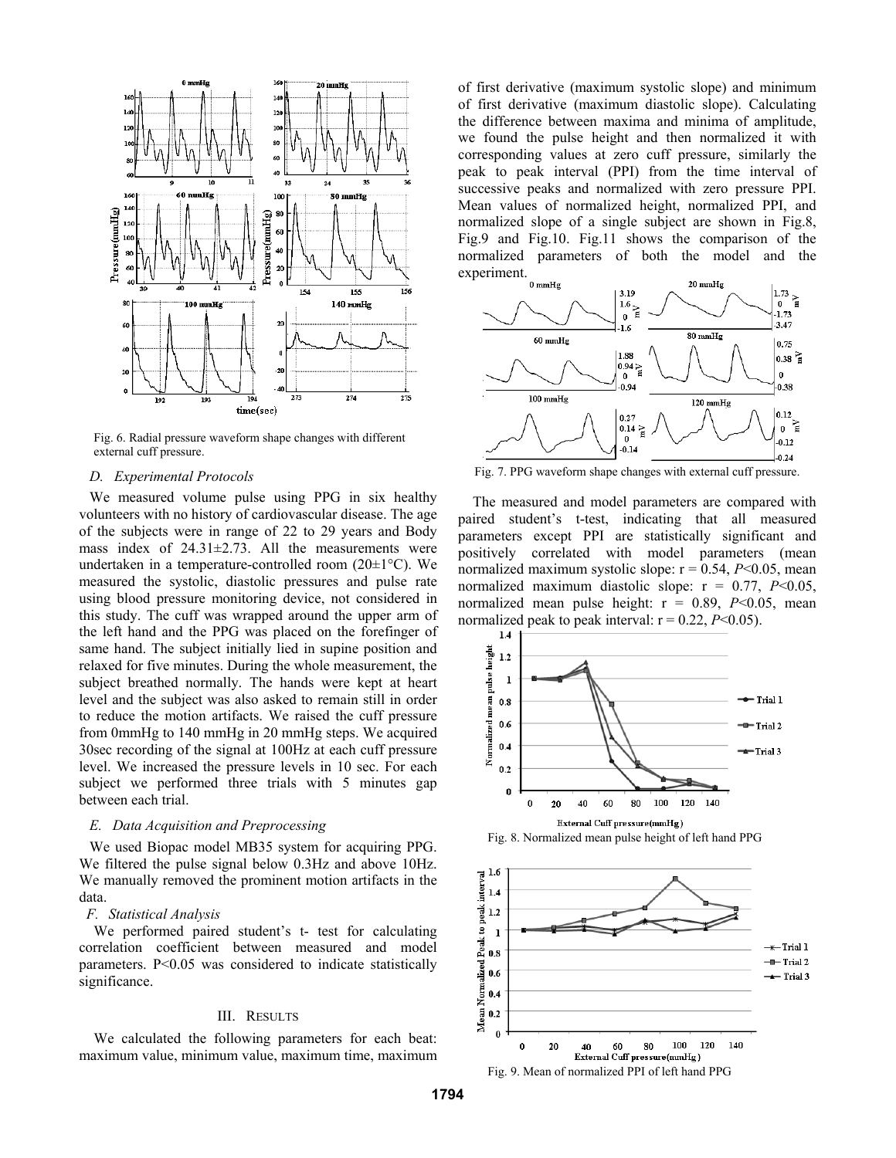

 Fig. 6. Radial pressure waveform shape changes with different external cuff pressure.

## *D. Experimental Protocols*

We measured volume pulse using PPG in six healthy volunteers with no history of cardiovascular disease. The age of the subjects were in range of 22 to 29 years and Body mass index of  $24.31 \pm 2.73$ . All the measurements were undertaken in a temperature-controlled room (20±1°C). We measured the systolic, diastolic pressures and pulse rate using blood pressure monitoring device, not considered in this study. The cuff was wrapped around the upper arm of the left hand and the PPG was placed on the forefinger of same hand. The subject initially lied in supine position and relaxed for five minutes. During the whole measurement, the subject breathed normally. The hands were kept at heart level and the subject was also asked to remain still in order to reduce the motion artifacts. We raised the cuff pressure from 0mmHg to 140 mmHg in 20 mmHg steps. We acquired 30sec recording of the signal at 100Hz at each cuff pressure level. We increased the pressure levels in 10 sec. For each subject we performed three trials with 5 minutes gap between each trial.

## *E. Data Acquisition and Preprocessing*

We used Biopac model MB35 system for acquiring PPG. We filtered the pulse signal below 0.3Hz and above 10Hz. We manually removed the prominent motion artifacts in the data.

## *F. Statistical Analysis*

We performed paired student's t- test for calculating correlation coefficient between measured and model parameters. P<0.05 was considered to indicate statistically significance.

## III. RESULTS

We calculated the following parameters for each beat: maximum value, minimum value, maximum time, maximum of first derivative (maximum systolic slope) and minimum of first derivative (maximum diastolic slope). Calculating the difference between maxima and minima of amplitude, we found the pulse height and then normalized it with corresponding values at zero cuff pressure, similarly the peak to peak interval (PPI) from the time interval of successive peaks and normalized with zero pressure PPI. Mean values of normalized height, normalized PPI, and normalized slope of a single subject are shown in Fig.8, Fig.9 and Fig.10. Fig.11 shows the comparison of the normalized parameters of both the model and the experiment.



Fig. 7. PPG waveform shape changes with external cuff pressure.

 The measured and model parameters are compared with paired student's t-test, indicating that all measured parameters except PPI are statistically significant and positively correlated with model parameters (mean normalized maximum systolic slope:  $r = 0.54$ ,  $P<0.05$ , mean normalized maximum diastolic slope:  $r = 0.77$ ,  $P < 0.05$ , normalized mean pulse height:  $r = 0.89$ ,  $P<0.05$ , mean normalized peak to peak interval:  $r = 0.22$ ,  $P<0.05$ ).



Fig. 8. Normalized mean pulse height of left hand PPG